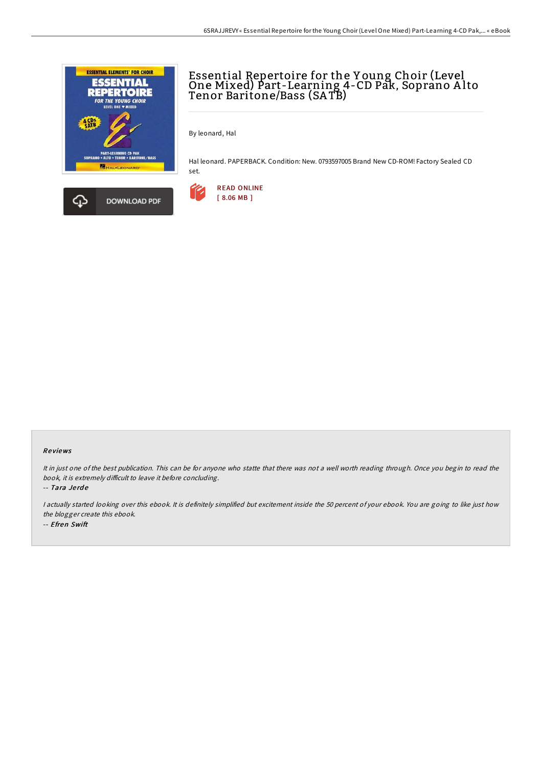



## Essential Repertoire for the Y oung Choir (Level One Mixed) Part-Learning 4-CD Pak, Soprano A lto Tenor Baritone/Bass (SA TB)

By leonard, Hal

Hal leonard. PAPERBACK. Condition: New. 0793597005 Brand New CD-ROM! Factory Sealed CD set.



## Re views

It in just one of the best publication. This can be for anyone who statte that there was not <sup>a</sup> well worth reading through. Once you begin to read the book, it is extremely difficult to leave it before concluding.

-- Tara Je rd e

I actually started looking over this ebook. It is definitely simplified but excitement inside the 50 percent of your ebook. You are going to like just how the blogger create this ebook. -- Efren Swift